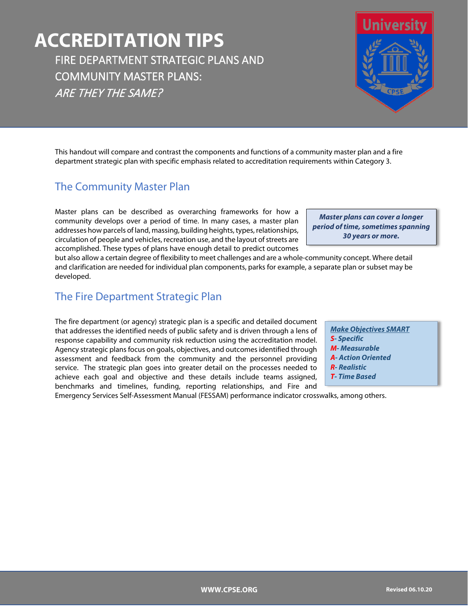# **ACCREDITATION TIPS** FIRE DEPARTMENT STRATEGIC PLANS AND COMMUNITY MASTER PLANS: ARE THEY THE SAME?

This handout will compare and contrast the components and functions of a community master plan and a fire department strategic plan with specific emphasis related to accreditation requirements within Category 3.

### The Community Master Plan

Master plans can be described as overarching frameworks for how a community develops over a period of time. In many cases, a master plan addresses how parcels of land, massing, building heights, types, relationships, circulation of people and vehicles, recreation use, and the layout of streets are accomplished. These types of plans have enough detail to predict outcomes

but also allow a certain degree of flexibility to meet challenges and are a whole-community concept. Where detail and clarification are needed for individual plan components, parks for example, a separate plan or subset may be developed.

### The Fire Department Strategic Plan

The fire department (or agency) strategic plan is a specific and detailed document that addresses the identified needs of public safety and is driven through a lens of response capability and community risk reduction using the accreditation model. Agency strategic plans focus on goals, objectives, and outcomes identified through assessment and feedback from the community and the personnel providing service. The strategic plan goes into greater detail on the processes needed to achieve each goal and objective and these details include teams assigned, benchmarks and timelines, funding, reporting relationships, and Fire and

Emergency Services Self-Assessment Manual (FESSAM) performance indicator crosswalks, among others.

*Make Objectives SMART S- Specific M- Measurable A- Action Oriented R- Realistic T- Time Based*

*Master plans can cover a longer period of time, sometimes spanning 30 years or more.*

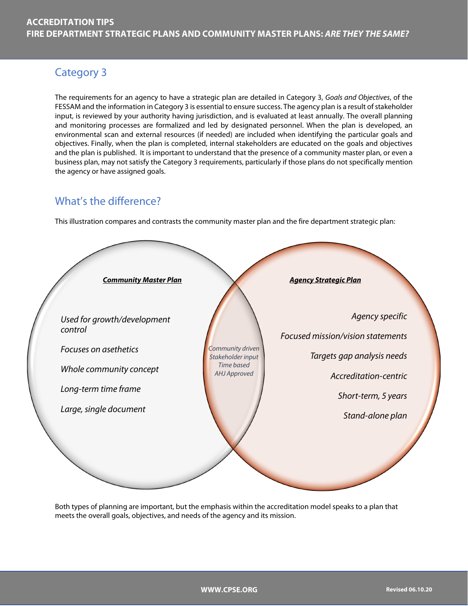# Category 3

The requirements for an agency to have a strategic plan are detailed in Category 3, *Goals and Objectives*, of the FESSAM and the information in Category 3 is essential to ensure success. The agency plan is a result of stakeholder input, is reviewed by your authority having jurisdiction, and is evaluated at least annually. The overall planning and monitoring processes are formalized and led by designated personnel. When the plan is developed, an environmental scan and external resources (if needed) are included when identifying the particular goals and objectives. Finally, when the plan is completed, internal stakeholders are educated on the goals and objectives and the plan is published. It is important to understand that the presence of a community master plan, or even a business plan, may not satisfy the Category 3 requirements, particularly if those plans do not specifically mention the agency or have assigned goals.

### What's the difference?

This illustration compares and contrasts the community master plan and the fire department strategic plan:



Both types of planning are important, but the emphasis within the accreditation model speaks to a plan that meets the overall goals, objectives, and needs of the agency and its mission.